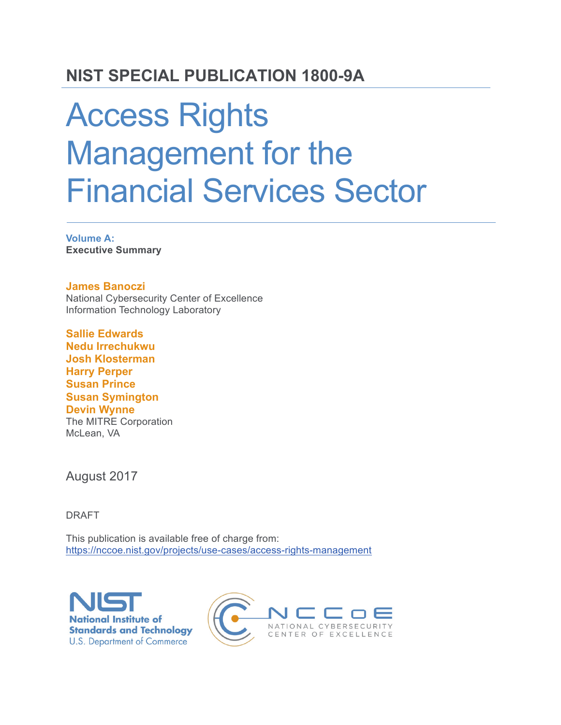# **NIST SPECIAL PUBLICATION 1800-9A**

# Access Rights Management for the Financial Services Sector

**Volume A: Executive Summary**

#### **James Banoczi**

National Cybersecurity Center of Excellence Information Technology Laboratory

**Sallie Edwards Nedu Irrechukwu Josh Klosterman Harry Perper Susan Prince Susan Symington Devin Wynne** The MITRE Corporation McLean, VA

August 2017

DRAFT

This publication is available free of charge from: https://nccoe.nist.gov/projects/use-cases/access-rights-management



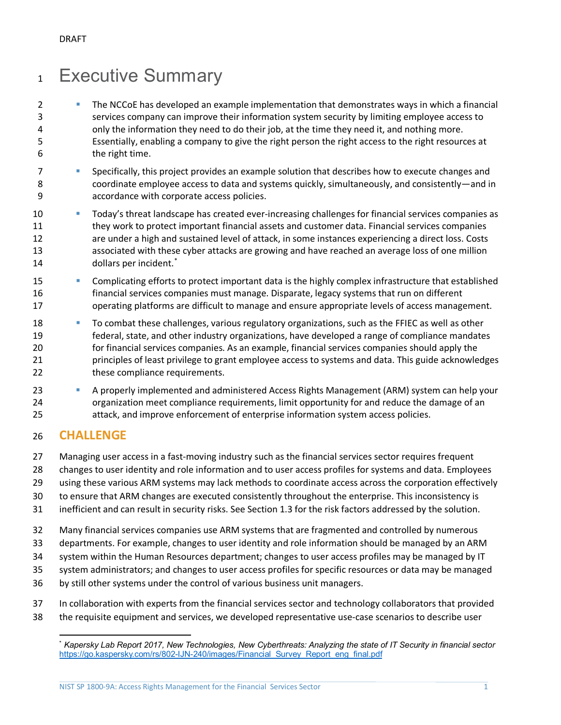# Executive Summary

- **The NCCoE** has developed an example implementation that demonstrates ways in which a financial services company can improve their information system security by limiting employee access to only the information they need to do their job, at the time they need it, and nothing more. Essentially, enabling a company to give the right person the right access to the right resources at the right time.
- 7 Specifically, this project provides an example solution that describes how to execute changes and coordinate employee access to data and systems quickly, simultaneously, and consistently—and in accordance with corporate access policies.
- Today's threat landscape has created ever-increasing challenges for financial services companies as they work to protect important financial assets and customer data. Financial services companies are under a high and sustained level of attack, in some instances experiencing a direct loss. Costs associated with these cyber attacks are growing and have reached an average loss of one million 14 dollars per incident.<sup>[\\*](#page-1-0)</sup>
- **Complicating efforts to protect important data is the highly complex infrastructure that established**  financial services companies must manage. Disparate, legacy systems that run on different operating platforms are difficult to manage and ensure appropriate levels of access management.
- 18 To combat these challenges, various regulatory organizations, such as the FFIEC as well as other federal, state, and other industry organizations, have developed a range of compliance mandates for financial services companies. As an example, financial services companies should apply the principles of least privilege to grant employee access to systems and data. This guide acknowledges 22 these compliance requirements.
- **A properly implemented and administered Access Rights Management (ARM) system can help your**  organization meet compliance requirements, limit opportunity for and reduce the damage of an attack, and improve enforcement of enterprise information system access policies.

# **CHALLENGE**

- Managing user access in a fast-moving industry such as the financial services sector requires frequent
- changes to user identity and role information and to user access profiles for systems and data. Employees
- using these various ARM systems may lack methods to coordinate access across the corporation effectively
- to ensure that ARM changes are executed consistently throughout the enterprise. This inconsistency is
- inefficient and can result in security risks. See Section 1.3 for the risk factors addressed by the solution.
- Many financial services companies use ARM systems that are fragmented and controlled by numerous
- departments. For example, changes to user identity and role information should be managed by an ARM
- system within the Human Resources department; changes to user access profiles may be managed by IT
- system administrators; and changes to user access profiles for specific resources or data may be managed
- by still other systems under the control of various business unit managers.
- In collaboration with experts from the financial services sector and technology collaborators that provided
- <span id="page-1-0"></span>the requisite equipment and services, we developed representative use-case scenarios to describe user

 $\overline{a}$ \* *Kapersky Lab Report 2017, New Technologies, New Cyberthreats: Analyzing the state of IT Security in financial sector* [https://go.kaspersky.com/rs/802-IJN-240/images/Financial\\_Survey\\_Report\\_eng\\_final.pdf](https://go.kaspersky.com/rs/802-IJN-240/images/Financial_Survey_Report_eng_final.pdf)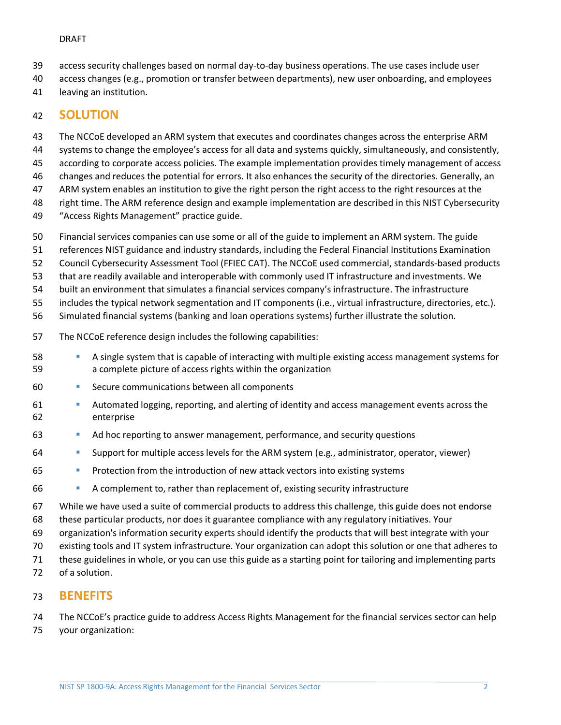#### DRAFT

- access security challenges based on normal day-to-day business operations. The use cases include user
- access changes (e.g., promotion or transfer between departments), new user onboarding, and employees
- leaving an institution.

## **SOLUTION**

 The NCCoE developed an ARM system that executes and coordinates changes across the enterprise ARM systems to change the employee's access for all data and systems quickly, simultaneously, and consistently,

according to corporate access policies. The example implementation provides timely management of access

changes and reduces the potential for errors. It also enhances the security of the directories. Generally, an

ARM system enables an institution to give the right person the right access to the right resources at the

right time. The ARM reference design and example implementation are described in this NIST Cybersecurity

- "Access Rights Management" practice guide.
- Financial services companies can use some or all of the guide to implement an ARM system. The guide
- references NIST guidance and industry standards, including the Federal Financial Institutions Examination
- Council Cybersecurity Assessment Tool (FFIEC CAT). The NCCoE used commercial, standards-based products
- that are readily available and interoperable with commonly used IT infrastructure and investments. We

built an environment that simulates a financial services company's infrastructure. The infrastructure

includes the typical network segmentation and IT components (i.e., virtual infrastructure, directories, etc.).

Simulated financial systems (banking and loan operations systems) further illustrate the solution.

- The NCCoE reference design includes the following capabilities:
- A single system that is capable of interacting with multiple existing access management systems for a complete picture of access rights within the organization
- Secure communications between all components
- **Automated logging, reporting, and alerting of identity and access management events across the** enterprise
- **Ad hoc reporting to answer management, performance, and security questions** 6
- Support for multiple access levels for the ARM system (e.g., administrator, operator, viewer)
- Protection from the introduction of new attack vectors into existing systems
- A complement to, rather than replacement of, existing security infrastructure

 While we have used a suite of commercial products to address this challenge, this guide does not endorse these particular products, nor does it guarantee compliance with any regulatory initiatives. Your

organization's information security experts should identify the products that will best integrate with your

existing tools and IT system infrastructure. Your organization can adopt this solution or one that adheres to

these guidelines in whole, or you can use this guide as a starting point for tailoring and implementing parts

of a solution.

### **BENEFITS**

The NCCoE's practice guide to address Access Rights Management for the financial services sector can help

your organization: